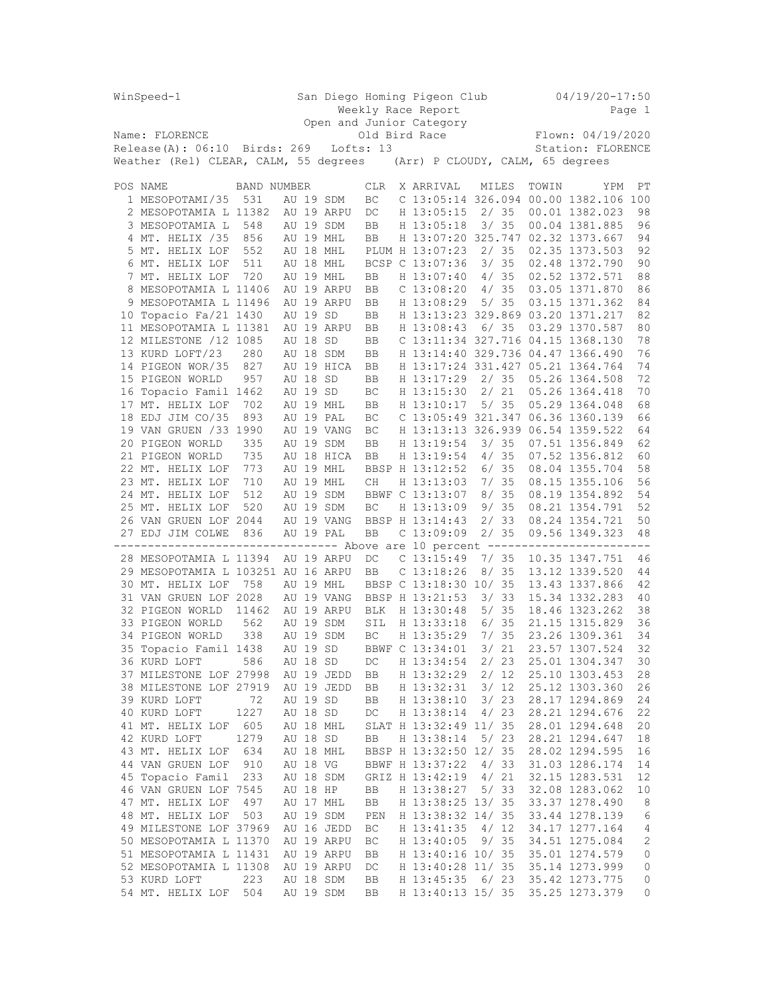| San Diego Homing Pigeon Club<br>WinSpeed-1 |                                                                             |             |  |          |            |            |  | $04/19/20 - 17:50$                |      |                   |       |                                       |                     |  |
|--------------------------------------------|-----------------------------------------------------------------------------|-------------|--|----------|------------|------------|--|-----------------------------------|------|-------------------|-------|---------------------------------------|---------------------|--|
|                                            |                                                                             |             |  |          |            |            |  | Weekly Race Report                |      |                   |       |                                       | Page 1              |  |
|                                            |                                                                             |             |  |          |            |            |  | Open and Junior Category          |      |                   |       |                                       |                     |  |
|                                            | Name: FLORENCE                                                              |             |  |          |            |            |  | Old Bird Race                     |      |                   |       | Flown: 04/19/2020                     |                     |  |
|                                            | $Release(A): 06:10$ Birds: 269                                              |             |  |          | Lofts: 13  |            |  |                                   |      | Station: FLORENCE |       |                                       |                     |  |
| Weather (Rel) CLEAR, CALM, 55 degrees      |                                                                             |             |  |          |            |            |  | (Arr) P CLOUDY, CALM, 65 degrees  |      |                   |       |                                       |                     |  |
|                                            |                                                                             |             |  |          |            |            |  |                                   |      |                   |       |                                       |                     |  |
|                                            | POS NAME                                                                    | BAND NUMBER |  |          |            | <b>CLR</b> |  | X ARRIVAL                         |      | MILES             | TOWIN | YPM                                   | РT                  |  |
|                                            | 1 MESOPOTAMI/35                                                             | 531         |  |          | AU 19 SDM  | BC         |  |                                   |      |                   |       | C 13:05:14 326.094 00.00 1382.106 100 |                     |  |
|                                            | 2 MESOPOTAMIA L 11382                                                       |             |  |          | AU 19 ARPU | DC         |  | H 13:05:15                        |      | 2/35              |       | 00.01 1382.023                        | 98                  |  |
|                                            | 3 MESOPOTAMIA L                                                             | 548         |  |          | AU 19 SDM  | BB         |  | H 13:05:18                        |      | 3/35              |       | 00.04 1381.885                        | 96                  |  |
|                                            | 4 MT. HELIX /35                                                             | 856         |  |          | AU 19 MHL  | BB         |  | H 13:07:20 325.747 02.32 1373.667 |      |                   |       |                                       | 94                  |  |
|                                            | 5 MT. HELIX LOF                                                             | 552         |  |          | AU 18 MHL  |            |  | PLUM H 13:07:23                   |      | 2/35              |       | 02.35 1373.503                        | 92                  |  |
|                                            | 6 MT. HELIX LOF                                                             | 511         |  |          | AU 18 MHL  |            |  | BCSP C 13:07:36                   |      | 3/35              |       | 02.48 1372.790                        | 90                  |  |
|                                            | 7 MT. HELIX LOF                                                             | 720         |  |          | AU 19 MHL  | BB         |  | H 13:07:40                        |      | 4/35              |       | 02.52 1372.571                        | 88                  |  |
| 8                                          | MESOPOTAMIA L 11406                                                         |             |  |          | AU 19 ARPU | BB         |  | $C$ 13:08:20                      |      | 4/35              |       | 03.05 1371.870                        | 86                  |  |
|                                            | 9 MESOPOTAMIA L 11496                                                       |             |  |          | AU 19 ARPU | BB         |  | H 13:08:29                        |      | 5/35              |       | 03.15 1371.362                        | 84                  |  |
|                                            | 10 Topacio Fa/21 1430                                                       |             |  | AU 19 SD |            | BB         |  | H 13:13:23 329.869 03.20 1371.217 |      |                   |       |                                       | 82                  |  |
|                                            | 11 MESOPOTAMIA L 11381                                                      |             |  |          | AU 19 ARPU | BB         |  | H 13:08:43                        |      | 6/35              |       | 03.29 1370.587                        | 80                  |  |
|                                            | 12 MILESTONE / 12 1085                                                      |             |  | AU 18 SD |            | BB         |  | C 13:11:34 327.716 04.15 1368.130 |      |                   |       |                                       | 78                  |  |
|                                            | 13 KURD LOFT/23                                                             | 280         |  |          | AU 18 SDM  | BB         |  | H 13:14:40 329.736 04.47 1366.490 |      |                   |       |                                       | 76                  |  |
|                                            | 14 PIGEON WOR/35                                                            | 827         |  |          | AU 19 HICA | BB         |  | H 13:17:24 331.427 05.21 1364.764 |      |                   |       |                                       | 74                  |  |
|                                            | 15 PIGEON WORLD                                                             | 957         |  | AU 18 SD |            | BB         |  | H 13:17:29                        |      | 2/35              |       | 05.26 1364.508                        | 72                  |  |
|                                            | 16 Topacio Famil 1462                                                       |             |  | AU 19 SD |            | BC         |  | H 13:15:30                        |      | 2/21              |       | 05.26 1364.418                        | 70                  |  |
|                                            | 17 MT. HELIX LOF                                                            | 702         |  |          | AU 19 MHL  | BB         |  | H 13:10:17                        |      | 5/35              |       | 05.29 1364.048                        | 68                  |  |
|                                            | 18 EDJ JIM CO/35                                                            | 893         |  |          | AU 19 PAL  | ВC         |  | C 13:05:49 321.347 06.36 1360.139 |      |                   |       |                                       | 66                  |  |
|                                            | 19 VAN GRUEN /33 1990                                                       |             |  |          | AU 19 VANG | ВC         |  | H 13:13:13 326.939 06.54 1359.522 |      |                   |       |                                       | 64                  |  |
|                                            | 20 PIGEON WORLD                                                             | 335         |  |          | AU 19 SDM  | BB         |  | H 13:19:54                        |      | 3/35              |       | 07.51 1356.849                        | 62                  |  |
|                                            | 21 PIGEON WORLD                                                             | 735         |  |          | AU 18 HICA | BB         |  | H 13:19:54                        |      | 4/35              |       | 07.52 1356.812                        | 60                  |  |
|                                            | 22 MT. HELIX LOF                                                            | 773         |  |          | AU 19 MHL  |            |  | BBSP H 13:12:52                   |      | 6/35              |       | 08.04 1355.704                        | 58                  |  |
|                                            | 23 MT. HELIX LOF                                                            | 710         |  |          | AU 19 MHL  | CH         |  | H 13:13:03                        |      | 7/35              |       | 08.15 1355.106                        | 56                  |  |
|                                            | 24 MT. HELIX LOF                                                            | 512         |  |          | AU 19 SDM  |            |  | BBWF C 13:13:07                   |      | 8/35              |       | 08.19 1354.892                        | 54                  |  |
|                                            | 25 MT. HELIX LOF                                                            | 520         |  |          | AU 19 SDM  | BC         |  | H 13:13:09                        |      | 9/35              |       | 08.21 1354.791                        | 52                  |  |
|                                            | 26 VAN GRUEN LOF 2044                                                       |             |  |          | AU 19 VANG |            |  | BBSP H 13:14:43                   |      | 2/33              |       | 08.24 1354.721                        | 50                  |  |
|                                            | 27 EDJ JIM COLWE                                                            | 836         |  |          | AU 19 PAL  | BB         |  | $C$ 13:09:09                      |      | 2/35              |       | 09.56 1349.323                        | 48                  |  |
|                                            | ------------------------------ Above are 10 percent ----------------------- |             |  |          |            |            |  |                                   |      |                   |       |                                       |                     |  |
|                                            | 28 MESOPOTAMIA L 11394                                                      |             |  |          | AU 19 ARPU | DC         |  | $C$ 13:15:49                      |      | 7/35              |       | 10.35 1347.751                        | 46                  |  |
|                                            | 29 MESOPOTAMIA L 103251 AU 16 ARPU                                          |             |  |          |            | BB         |  | C <sub>13:18:26</sub>             |      | 8/35              |       | 13.12 1339.520                        | 44                  |  |
|                                            | 30 MT. HELIX LOF                                                            | 758         |  |          | AU 19 MHL  |            |  | BBSP C 13:18:30 10/ 35            |      |                   |       | 13.43 1337.866                        | 42                  |  |
|                                            | 31 VAN GRUEN LOF 2028                                                       |             |  |          | AU 19 VANG |            |  | BBSP H 13:21:53                   |      | 3/33              |       | 15.34 1332.283                        | 40                  |  |
|                                            | 32 PIGEON WORLD                                                             | 11462       |  |          | AU 19 ARPU | <b>BLK</b> |  | H 13:30:48                        |      | 5/35              |       | 18.46 1323.262                        | 38                  |  |
|                                            | 33 PIGEON WORLD                                                             | 562         |  |          | AU 19 SDM  | SIL        |  | H 13:33:18                        |      | 6/35              |       | 21.15 1315.829                        | 36                  |  |
|                                            | 34 PIGEON WORLD                                                             | 338         |  |          | AU 19 SDM  | BC         |  | H 13:35:29                        |      | 7/35              |       | 23.26 1309.361                        | 34                  |  |
|                                            | 35 Topacio Famil 1438                                                       |             |  | AU 19 SD |            |            |  | BBWF C 13:34:01                   |      | 3/21              |       | 23.57 1307.524                        | 32                  |  |
|                                            |                                                                             | 586         |  |          |            |            |  | H 13:34:54                        |      | 2/23              |       | 25.01 1304.347                        | 30                  |  |
|                                            | 36 KURD LOFT<br>37 MILESTONE LOF 27998                                      |             |  | AU 18 SD |            | DC         |  |                                   |      |                   |       | 25.10 1303.453                        |                     |  |
|                                            |                                                                             |             |  |          | AU 19 JEDD | BB         |  | H 13:32:29<br>H 13:32:31          |      | 2/12<br>3/12      |       | 25.12 1303.360                        | 28                  |  |
|                                            | 38 MILESTONE LOF 27919                                                      |             |  |          | AU 19 JEDD | BB         |  |                                   |      |                   |       | 28.17 1294.869                        | 26                  |  |
|                                            | 39 KURD LOFT                                                                | 72<br>1227  |  | AU 19 SD |            | BB         |  | H 13:38:10                        |      | 3/23              |       |                                       | 24                  |  |
|                                            | 40 KURD LOFT                                                                |             |  | AU 18 SD |            | DC         |  | H 13:38:14                        |      | 4/23              |       | 28.21 1294.676                        | 22                  |  |
|                                            | 41 MT. HELIX LOF                                                            | 605         |  |          | AU 18 MHL  |            |  | SLAT H 13:32:49 11/ 35            |      |                   |       | 28.01 1294.648<br>28.21 1294.647      | 20                  |  |
|                                            | 42 KURD LOFT                                                                | 1279        |  | AU 18 SD |            | BB         |  | H 13:38:14                        |      | 5/23              |       |                                       | 18                  |  |
|                                            | 43 MT. HELIX LOF                                                            | 634         |  |          | AU 18 MHL  |            |  | BBSP H 13:32:50 12/ 35            |      |                   |       | 28.02 1294.595                        | 16                  |  |
|                                            | 44 VAN GRUEN LOF                                                            | 910         |  | AU 18 VG |            |            |  | BBWF H 13:37:22                   |      | 4/33              |       | 31.03 1286.174                        | 14                  |  |
|                                            | 45 Topacio Famil                                                            | 233         |  |          | AU 18 SDM  |            |  | GRIZ H 13:42:19                   |      | 4/21              |       | 32.15 1283.531                        | 12                  |  |
|                                            | 46 VAN GRUEN LOF 7545                                                       |             |  | AU 18 HP |            | BB         |  | H 13:38:27                        |      | 5/33              |       | 32.08 1283.062                        | 10                  |  |
|                                            | 47 MT. HELIX LOF                                                            | 497         |  |          | AU 17 MHL  | BB         |  | H 13:38:25 13/ 35                 |      |                   |       | 33.37 1278.490                        | 8                   |  |
|                                            | 48 MT. HELIX LOF                                                            | 503         |  |          | AU 19 SDM  | PEN        |  | H 13:38:32 14/ 35                 |      |                   |       | 33.44 1278.139                        | 6                   |  |
|                                            | 49 MILESTONE LOF 37969                                                      |             |  |          | AU 16 JEDD | ВC         |  | H 13:41:35                        |      | 4/12              |       | 34.17 1277.164                        | 4                   |  |
|                                            | 50 MESOPOTAMIA L 11370                                                      |             |  |          | AU 19 ARPU | ВC         |  | H 13:40:05                        |      | 9/35              |       | 34.51 1275.084                        | 2                   |  |
|                                            | 51 MESOPOTAMIA L 11431                                                      |             |  |          | AU 19 ARPU | ВB         |  | H 13:40:16 10/ 35                 |      |                   |       | 35.01 1274.579                        | 0                   |  |
|                                            | 52 MESOPOTAMIA L 11308                                                      |             |  |          | AU 19 ARPU | DC         |  | H 13:40:28 11/ 35                 |      |                   |       | 35.14 1273.999                        | $\mathsf{O}\xspace$ |  |
|                                            | 53 KURD LOFT                                                                | 223         |  |          | AU 18 SDM  | BB         |  | H 13:45:35                        | 6/23 |                   |       | 35.42 1273.775                        | 0                   |  |
|                                            | 54 MT. HELIX LOF                                                            | 504         |  |          | AU 19 SDM  | BB         |  | H 13:40:13 15/ 35                 |      |                   |       | 35.25 1273.379                        | 0                   |  |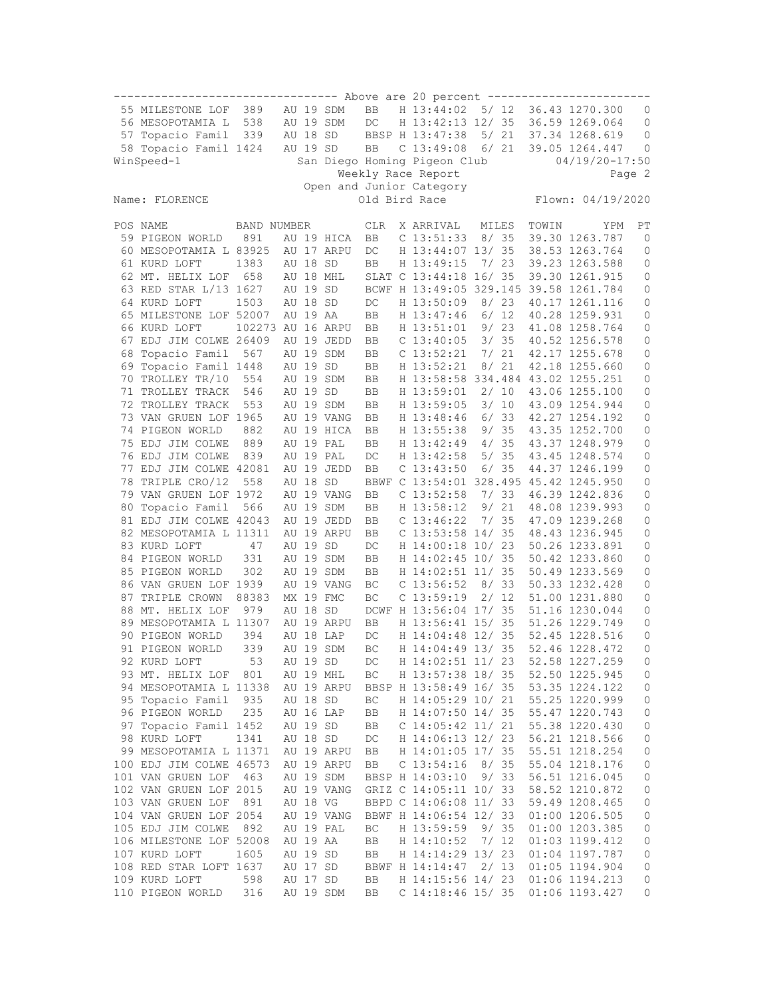|                                                                  |                         |                   |  |          |            |            |  |                                        |      |       |       | ------------------------ |                     |
|------------------------------------------------------------------|-------------------------|-------------------|--|----------|------------|------------|--|----------------------------------------|------|-------|-------|--------------------------|---------------------|
|                                                                  | 55 MILESTONE LOF        | 389               |  |          | AU 19 SDM  | BB         |  | H 13:44:02                             |      | 5/ 12 |       | 36.43 1270.300           | 0                   |
|                                                                  | 56 MESOPOTAMIA L        | 538               |  |          | AU 19 SDM  | $DC$       |  | H 13:42:13 12/ 35                      |      |       |       | 36.59 1269.064           | 0                   |
|                                                                  | 57 Topacio Famil        | 339               |  | AU 18 SD |            |            |  | BBSP H 13:47:38                        |      | 5/21  |       | 37.34 1268.619           | 0                   |
|                                                                  | 58 Topacio Famil 1424   |                   |  | AU 19 SD |            | BB         |  | $C$ 13:49:08                           |      | 6/ 21 |       | 39.05 1264.447           | $\mathbf{0}$        |
|                                                                  |                         |                   |  |          |            |            |  |                                        |      |       |       |                          |                     |
| WinSpeed-1<br>San Diego Homing Pigeon Club<br>$04/19/20 - 17:50$ |                         |                   |  |          |            |            |  |                                        |      |       |       |                          |                     |
| Weekly Race Report<br>Page 2                                     |                         |                   |  |          |            |            |  |                                        |      |       |       |                          |                     |
| Open and Junior Category                                         |                         |                   |  |          |            |            |  |                                        |      |       |       |                          |                     |
| Old Bird Race<br>Flown: 04/19/2020<br>Name: FLORENCE             |                         |                   |  |          |            |            |  |                                        |      |       |       |                          |                     |
|                                                                  |                         |                   |  |          |            |            |  |                                        |      |       |       |                          |                     |
|                                                                  | POS NAME                | BAND NUMBER       |  |          |            | <b>CLR</b> |  | X ARRIVAL                              |      | MILES | TOWIN | YPM                      | РT                  |
|                                                                  | 59 PIGEON WORLD         | 891               |  |          | AU 19 HICA | BB         |  | $C$ 13:51:33                           |      | 8/35  |       | 39.30 1263.787           | $\mathbf{0}$        |
|                                                                  | 60 MESOPOTAMIA L 83925  |                   |  |          | AU 17 ARPU | DC         |  | H 13:44:07 13/ 35                      |      |       |       | 38.53 1263.764           | 0                   |
|                                                                  | 61 KURD LOFT            | 1383              |  | AU 18    | SD         | BB         |  | H 13:49:15                             |      | 7/23  |       | 39.23 1263.588           | 0                   |
|                                                                  | 62 MT. HELIX LOF        | 658               |  |          | AU 18 MHL  |            |  | SLAT C 13:44:18 16/ 35                 |      |       |       | 39.30 1261.915           | 0                   |
|                                                                  | 63 RED STAR L/13 1627   |                   |  | AU 19 SD |            |            |  | BCWF H 13:49:05 329.145 39.58 1261.784 |      |       |       |                          | 0                   |
|                                                                  | 64 KURD LOFT            | 1503              |  | AU 18 SD |            | DC         |  | H 13:50:09                             |      | 8/23  |       | 40.17 1261.116           | 0                   |
|                                                                  | 65 MILESTONE LOF 52007  |                   |  | AU 19 AA |            | BB         |  | H 13:47:46                             |      | 6/12  |       | 40.28 1259.931           | 0                   |
|                                                                  | 66 KURD LOFT            | 102273 AU 16 ARPU |  |          |            | BB         |  | H 13:51:01                             |      | 9/23  |       | 41.08 1258.764           | 0                   |
|                                                                  | 67 EDJ JIM COLWE 26409  |                   |  |          | AU 19 JEDD | BB         |  | $C$ 13:40:05                           |      | 3/35  |       | 40.52 1256.578           | 0                   |
| 68                                                               | Topacio Famil           | 567               |  | AU 19    | SDM        | BB         |  | $C$ 13:52:21                           |      | 7/21  |       | 42.17 1255.678           | 0                   |
|                                                                  | 69 Topacio Famil 1448   |                   |  | AU 19 SD |            | BB         |  | H 13:52:21                             |      | 8/21  |       | 42.18 1255.660           | 0                   |
|                                                                  | 70 TROLLEY TR/10        | 554               |  |          | AU 19 SDM  | BB         |  | H 13:58:58 334.484 43.02 1255.251      |      |       |       |                          | 0                   |
|                                                                  |                         | 546               |  | AU 19 SD |            | BB         |  | H 13:59:01                             |      | 2/10  |       | 43.06 1255.100           |                     |
|                                                                  | 71 TROLLEY TRACK        |                   |  |          |            |            |  |                                        |      |       |       |                          | 0                   |
|                                                                  | 72 TROLLEY TRACK        | 553               |  |          | AU 19 SDM  | BB         |  | H 13:59:05                             |      | 3/10  |       | 43.09 1254.944           | 0                   |
|                                                                  | 73 VAN GRUEN LOF 1965   |                   |  |          | AU 19 VANG | BB         |  | H 13:48:46                             |      | 6/33  |       | 42.27 1254.192           | 0                   |
|                                                                  | 74 PIGEON WORLD         | 882               |  |          | AU 19 HICA | BB         |  | H 13:55:38                             |      | 9/35  |       | 43.35 1252.700           | 0                   |
|                                                                  | 75 EDJ JIM COLWE        | 889               |  |          | AU 19 PAL  | BB         |  | H 13:42:49                             |      | 4/35  |       | 43.37 1248.979           | 0                   |
|                                                                  | 76 EDJ JIM COLWE        | 839               |  |          | AU 19 PAL  | DC         |  | H 13:42:58                             |      | 5/35  |       | 43.45 1248.574           | 0                   |
|                                                                  | 77 EDJ JIM COLWE 42081  |                   |  |          | AU 19 JEDD | BB         |  | $C$ 13:43:50                           |      | 6/35  |       | 44.37 1246.199           | 0                   |
| 78                                                               | TRIPLE CRO/12           | 558               |  | AU 18 SD |            |            |  | BBWF C 13:54:01 328.495 45.42 1245.950 |      |       |       |                          | 0                   |
|                                                                  | 79 VAN GRUEN LOF 1972   |                   |  |          | AU 19 VANG | BB         |  | $C$ 13:52:58                           |      | 7/33  |       | 46.39 1242.836           | 0                   |
|                                                                  | 80 Topacio Famil        | 566               |  |          | AU 19 SDM  | BB         |  | H 13:58:12                             |      | 9/21  |       | 48.08 1239.993           | 0                   |
|                                                                  | 81 EDJ JIM COLWE 42043  |                   |  |          | AU 19 JEDD | BB         |  | $C$ 13:46:22                           |      | 7/35  |       | 47.09 1239.268           | 0                   |
|                                                                  | 82 MESOPOTAMIA L 11311  |                   |  |          | AU 19 ARPU | <b>BB</b>  |  | C 13:53:58 14/ 35                      |      |       |       | 48.43 1236.945           | 0                   |
|                                                                  | 83 KURD LOFT            | 47                |  | AU 19 SD |            | DC         |  | H 14:00:18 10/ 23                      |      |       |       | 50.26 1233.891           | 0                   |
|                                                                  | 84 PIGEON WORLD         | 331               |  |          | AU 19 SDM  | BB         |  | H 14:02:45 10/ 35                      |      |       |       | 50.42 1233.860           | 0                   |
|                                                                  | 85 PIGEON WORLD         | 302               |  |          | AU 19 SDM  | BB         |  | H 14:02:51 11/ 35                      |      |       |       | 50.49 1233.569           | 0                   |
|                                                                  | 86 VAN GRUEN LOF 1939   |                   |  |          | AU 19 VANG | ВC         |  | $C$ 13:56:52                           |      | 8/33  |       | 50.33 1232.428           | 0                   |
|                                                                  | 87 TRIPLE CROWN         | 88383             |  |          | MX 19 FMC  | BC         |  | $C$ 13:59:19                           |      | 2/12  |       | 51.00 1231.880           | 0                   |
|                                                                  | 88 MT. HELIX LOF        | 979               |  | AU 18 SD |            |            |  | DCWF H 13:56:04 17/ 35                 |      |       |       | 51.16 1230.044           | 0                   |
|                                                                  | 89 MESOPOTAMIA L 11307  |                   |  |          | AU 19 ARPU | BB         |  | H 13:56:41 15/ 35                      |      |       |       | 51.26 1229.749           | 0                   |
|                                                                  | 90 PIGEON WORLD         | 394               |  |          | AU 18 LAP  | DC         |  | H 14:04:48 12/ 35                      |      |       |       | 52.45 1228.516           | 0                   |
|                                                                  | 91 PIGEON WORLD         | 339               |  |          | AU 19 SDM  | BC         |  | H 14:04:49 13/35                       |      |       |       | 52.46 1228.472           | 0                   |
|                                                                  |                         |                   |  |          |            |            |  |                                        |      |       |       |                          |                     |
|                                                                  | 92 KURD LOFT            | 53                |  | AU 19 SD |            | DC         |  | H 14:02:51 11/ 23                      |      |       |       | 52.58 1227.259           | 0                   |
|                                                                  | 93 MT. HELIX LOF        | 801               |  |          | AU 19 MHL  | BC         |  | H 13:57:38 18/ 35                      |      |       |       | 52.50 1225.945           | 0                   |
|                                                                  | 94 MESOPOTAMIA L 11338  |                   |  |          | AU 19 ARPU |            |  | BBSP H 13:58:49 16/ 35                 |      |       |       | 53.35 1224.122           | 0                   |
|                                                                  | 95 Topacio Famil        | 935               |  | AU 18 SD |            | ВC         |  | H 14:05:29 10/ 21                      |      |       |       | 55.25 1220.999           | $\mathbb O$         |
|                                                                  | 96 PIGEON WORLD         | 235               |  |          | AU 16 LAP  | BB         |  | H 14:07:50 14/ 35                      |      |       |       | 55.47 1220.743           | 0                   |
|                                                                  | 97 Topacio Famil 1452   |                   |  | AU 19 SD |            | BB         |  | $C$ 14:05:42 11/21                     |      |       |       | 55.38 1220.430           | $\mathbb O$         |
|                                                                  | 98 KURD LOFT            | 1341              |  | AU 18 SD |            | DC         |  | H 14:06:13 12/ 23                      |      |       |       | 56.21 1218.566           | $\mathbb O$         |
|                                                                  | 99 MESOPOTAMIA L 11371  |                   |  |          | AU 19 ARPU | BB         |  | H 14:01:05 17/ 35                      |      |       |       | 55.51 1218.254           | $\mathbb O$         |
|                                                                  | 100 EDJ JIM COLWE 46573 |                   |  |          | AU 19 ARPU | BB         |  | $C$ 13:54:16                           |      | 8/35  |       | 55.04 1218.176           | $\mathsf{O}\xspace$ |
|                                                                  | 101 VAN GRUEN LOF       | 463               |  |          | AU 19 SDM  |            |  | BBSP H 14:03:10                        |      | 9/33  |       | 56.51 1216.045           | $\mathbb O$         |
|                                                                  | 102 VAN GRUEN LOF 2015  |                   |  |          | AU 19 VANG |            |  | GRIZ C 14:05:11 10/ 33                 |      |       |       | 58.52 1210.872           | $\mathbb O$         |
|                                                                  | 103 VAN GRUEN LOF       | 891               |  | AU 18 VG |            |            |  | BBPD C 14:06:08 11/ 33                 |      |       |       | 59.49 1208.465           | $\mathbb O$         |
|                                                                  | 104 VAN GRUEN LOF 2054  |                   |  |          | AU 19 VANG |            |  | BBWF H 14:06:54 12/ 33                 |      |       |       | 01:00 1206.505           | $\mathbb O$         |
|                                                                  | 105 EDJ JIM COLWE       | 892               |  |          | AU 19 PAL  | ВC         |  | H 13:59:59                             |      | 9/35  |       | 01:00 1203.385           | $\mathbb O$         |
|                                                                  | 106 MILESTONE LOF 52008 |                   |  | AU 19 AA |            | BB         |  | H 14:10:52                             | 7/12 |       |       | 01:03 1199.412           | $\mathbb O$         |
|                                                                  | 107 KURD LOFT           | 1605              |  | AU 19 SD |            | BB         |  | H 14:14:29 13/ 23                      |      |       |       | 01:04 1197.787           | $\mathbb O$         |
|                                                                  |                         |                   |  |          |            |            |  |                                        |      | 2/13  |       |                          |                     |
|                                                                  | 108 RED STAR LOFT 1637  |                   |  | AU 17 SD |            |            |  | BBWF H 14:14:47                        |      |       |       | 01:05 1194.904           | $\mathbb O$         |
|                                                                  | 109 KURD LOFT           | 598               |  | AU 17 SD |            | ВB         |  | H 14:15:56 14/ 23                      |      |       |       | 01:06 1194.213           | 0                   |
|                                                                  | 110 PIGEON WORLD        | 316               |  |          | AU 19 SDM  | BB         |  | C $14:18:46$ 15/ 35                    |      |       |       | 01:06 1193.427           | 0                   |